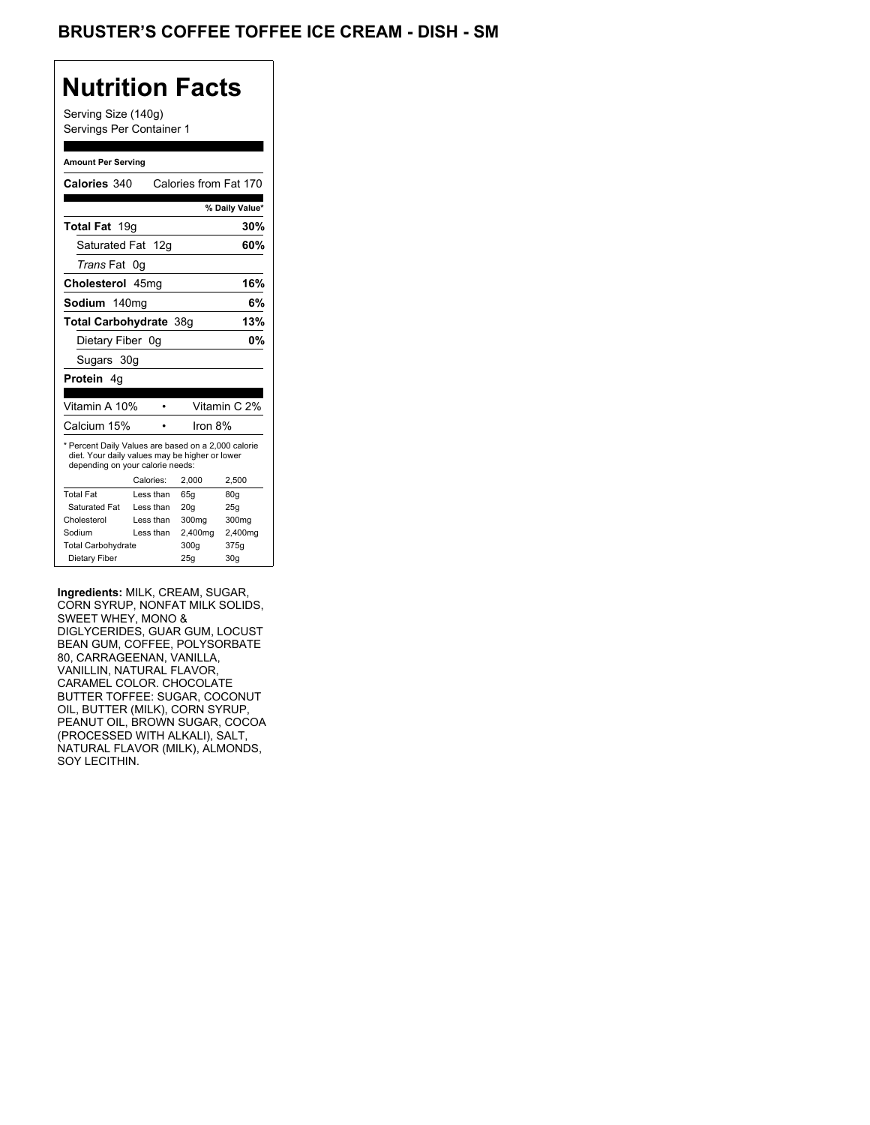## **Nutrition Facts**

Serving Size (140g) Servings Per Container 1

#### **Amount Per Serving**

| Calories 340                                                                                                                              |           | Calories from Fat 170 |                |
|-------------------------------------------------------------------------------------------------------------------------------------------|-----------|-----------------------|----------------|
|                                                                                                                                           |           |                       | % Daily Value* |
| <b>Total Fat</b> 19g                                                                                                                      |           |                       | 30%            |
| Saturated Fat 12g                                                                                                                         |           |                       | 60%            |
| Trans Fat 0q                                                                                                                              |           |                       |                |
| Cholesterol 45mg                                                                                                                          |           |                       | 16%            |
| Sodium 140mg                                                                                                                              |           |                       | 6%             |
| Total Carbohydrate 38g                                                                                                                    |           |                       | 13%            |
| Dietary Fiber 0g                                                                                                                          |           |                       | 0%             |
| Sugars 30g                                                                                                                                |           |                       |                |
| <b>Protein</b> 4a                                                                                                                         |           |                       |                |
| Vitamin A 10%                                                                                                                             |           |                       | Vitamin C 2%   |
| Calcium 15%                                                                                                                               |           | Iron 8%               |                |
| * Percent Daily Values are based on a 2,000 calorie<br>diet. Your daily values may be higher or lower<br>depending on your calorie needs: |           |                       |                |
|                                                                                                                                           | Calories: | 2.000                 | 2,500          |
| <b>Total Fat</b>                                                                                                                          | Less than | 65q                   | 80q            |
| Saturated Fat                                                                                                                             | Less than | 20q                   | 25q            |
| Cholesterol                                                                                                                               | Less than | 300 <sub>mg</sub>     | 300mg          |
|                                                                                                                                           |           |                       |                |
| Sodium                                                                                                                                    | Less than | 2,400mg               | 2,400mg        |
| <b>Total Carbohydrate</b>                                                                                                                 |           | 300q                  | 375g           |

**Ingredients:** MILK, CREAM, SUGAR, CORN SYRUP, NONFAT MILK SOLIDS, SWEET WHEY, MONO & DIGLYCERIDES, GUAR GUM, LOCUST BEAN GUM, COFFEE, POLYSORBATE 80, CARRAGEENAN, VANILLA, VANILLIN, NATURAL FLAVOR, CARAMEL COLOR. CHOCOLATE BUTTER TOFFEE: SUGAR, COCONUT OIL, BUTTER (MILK), CORN SYRUP, PEANUT OIL, BROWN SUGAR, COCOA (PROCESSED WITH ALKALI), SALT, NATURAL FLAVOR (MILK), ALMONDS, SOY LECITHIN.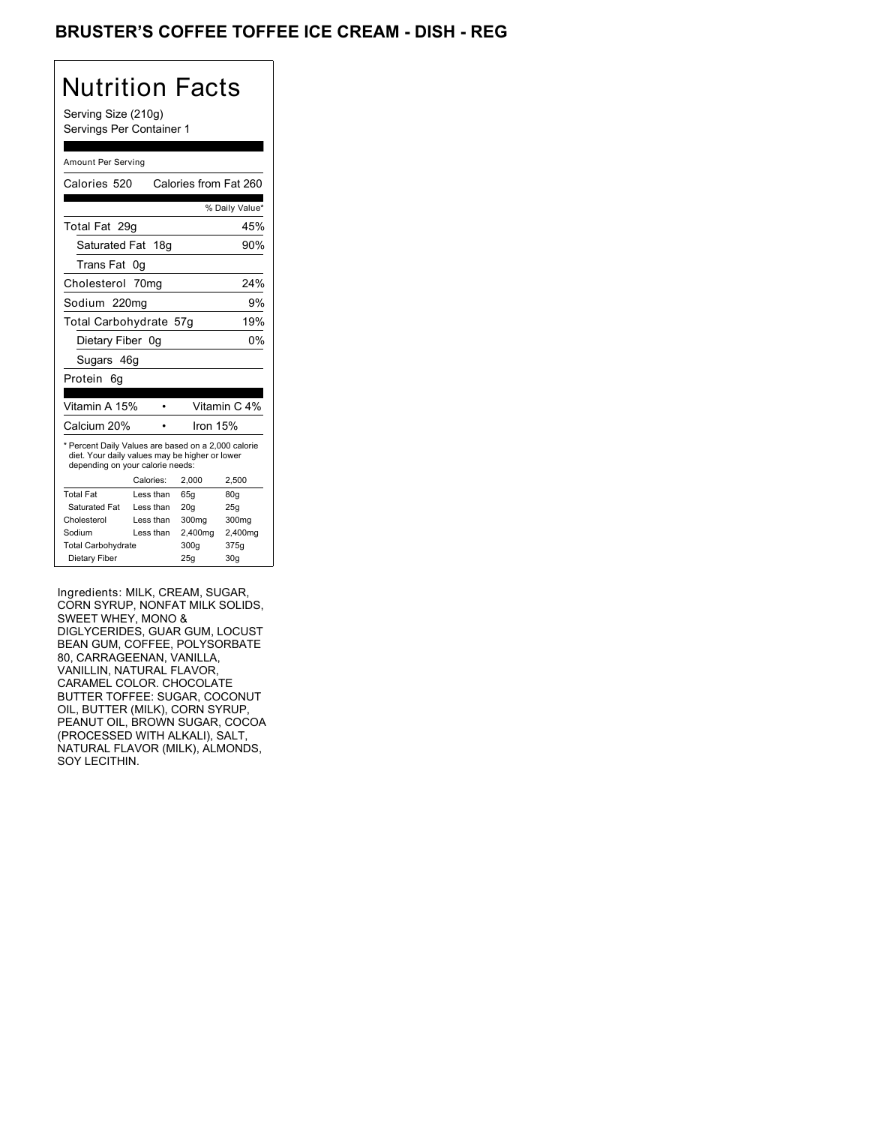## BRUSTER'S COFFEE TOFFEE ICE CREAM - DISH - REG

# Nutrition Facts

Serving Size (210g) Servings Per Container 1

#### Amount Per Serving

| Calories 520                                                                                                                              |           | Calories from Fat 260 |                |
|-------------------------------------------------------------------------------------------------------------------------------------------|-----------|-----------------------|----------------|
|                                                                                                                                           |           |                       |                |
|                                                                                                                                           |           |                       | % Daily Value* |
| Total Fat 29q                                                                                                                             |           |                       | 45%            |
| Saturated Fat 18g                                                                                                                         |           |                       | 90%            |
| Trans Fat 0q                                                                                                                              |           |                       |                |
| Cholesterol 70mg                                                                                                                          |           |                       | 24%            |
| Sodium 220mg                                                                                                                              |           |                       | 9%             |
| Total Carbohydrate 57g                                                                                                                    |           |                       | 19%            |
| Dietary Fiber 0g                                                                                                                          |           |                       | 0%             |
| Sugars 46g                                                                                                                                |           |                       |                |
| Protein<br>6q                                                                                                                             |           |                       |                |
| Vitamin A 15%                                                                                                                             |           |                       | Vitamin C 4%   |
| Calcium 20%                                                                                                                               |           | Iron 15%              |                |
| * Percent Daily Values are based on a 2,000 calorie<br>diet. Your daily values may be higher or lower<br>depending on your calorie needs: |           |                       |                |
|                                                                                                                                           | Calories: | 2,000                 | 2,500          |
| <b>Total Fat</b>                                                                                                                          | Less than | 65q                   | 80q            |
| Saturated Fat                                                                                                                             | Less than | 20q                   | 25g            |
| Cholesterol                                                                                                                               | Less than | 300mg                 | 300mg          |
| Sodium                                                                                                                                    | Less than | 2,400mg               | 2,400mg        |
| <b>Total Carbohydrate</b>                                                                                                                 |           | 300g                  | 375g           |
|                                                                                                                                           |           |                       |                |

Ingredients: MILK, CREAM, SUGAR, CORN SYRUP, NONFAT MILK SOLIDS, SWEET WHEY, MONO & DIGLYCERIDES, GUAR GUM, LOCUST BEAN GUM, COFFEE, POLYSORBATE 80, CARRAGEENAN, VANILLA, VANILLIN, NATURAL FLAVOR, CARAMEL COLOR. CHOCOLATE BUTTER TOFFEE: SUGAR, COCONUT OIL, BUTTER (MILK), CORN SYRUP, PEANUT OIL, BROWN SUGAR, COCOA (PROCESSED WITH ALKALI), SALT, NATURAL FLAVOR (MILK), ALMONDS, SOY LECITHIN.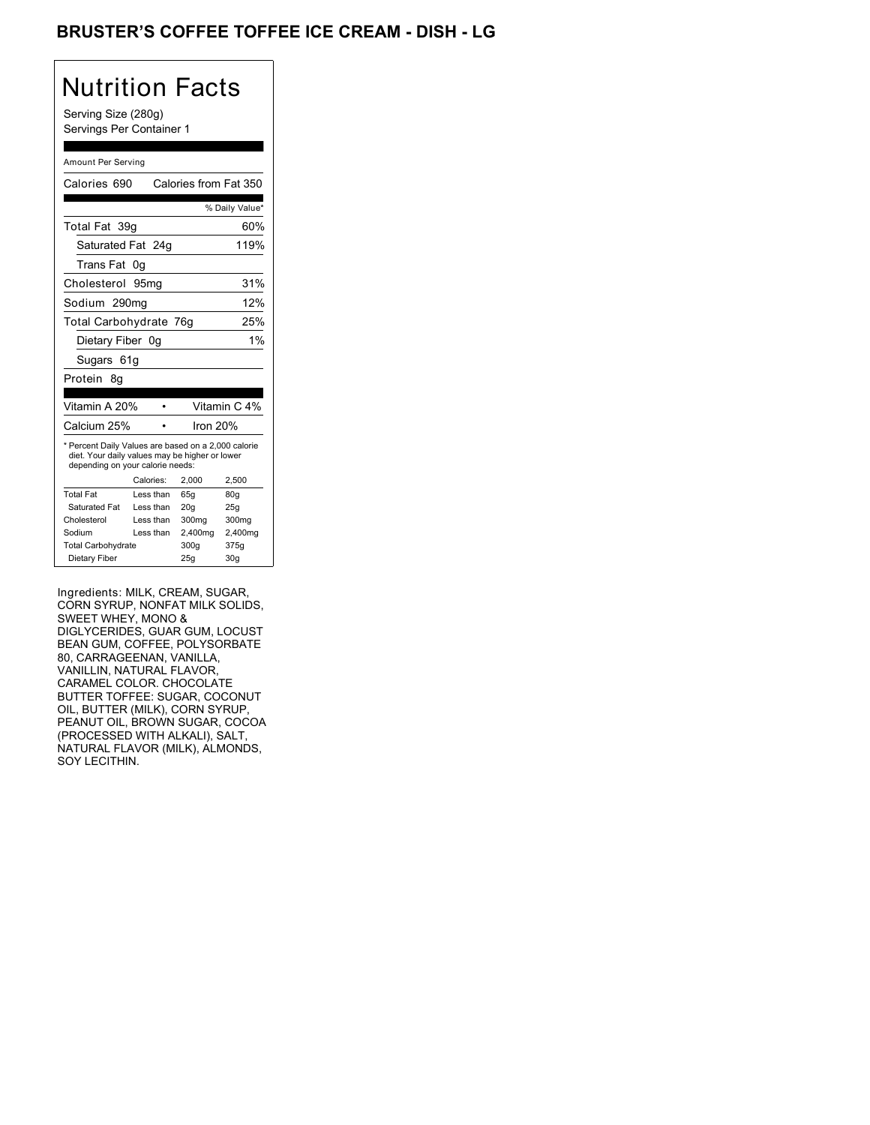## BRUSTER'S COFFEE TOFFEE ICE CREAM - DISH - LG

# Nutrition Facts

Serving Size (280g) Servings Per Container 1

#### Amount Per Serving

| Calories 690                                                                                                                              |           | Calories from Fat 350 |                 |
|-------------------------------------------------------------------------------------------------------------------------------------------|-----------|-----------------------|-----------------|
|                                                                                                                                           |           |                       | % Daily Value*  |
| Total Fat 39q                                                                                                                             |           |                       | 60%             |
| Saturated Fat 24g                                                                                                                         |           |                       | 119%            |
| Trans Fat                                                                                                                                 | 0g        |                       |                 |
| Cholesterol                                                                                                                               | 95ma      |                       | 31%             |
| Sodium 290mg                                                                                                                              |           |                       | 12%             |
| Total Carbohydrate 76g                                                                                                                    |           |                       | 25%             |
| Dietary Fiber 0g                                                                                                                          |           |                       | 1%              |
| Sugars 61g                                                                                                                                |           |                       |                 |
| Protein<br>8q                                                                                                                             |           |                       |                 |
| Vitamin A 20%                                                                                                                             |           |                       | Vitamin C 4%    |
| Calcium 25%                                                                                                                               |           | Iron 20%              |                 |
| * Percent Daily Values are based on a 2,000 calorie<br>diet. Your daily values may be higher or lower<br>depending on your calorie needs: |           |                       |                 |
|                                                                                                                                           | Calories: | 2,000                 | 2,500           |
| <b>Total Fat</b>                                                                                                                          | Less than | 65q                   | 80q             |
| Saturated Fat                                                                                                                             | Less than | 20q                   | 25g             |
| Cholesterol                                                                                                                               | Less than | 300mg                 | 300mg           |
| Sodium                                                                                                                                    | Less than | 2,400mg               | 2,400mg         |
| <b>Total Carbohydrate</b>                                                                                                                 |           | 300g                  | 375g            |
| Dietary Fiber                                                                                                                             |           | 25g                   | 30 <sub>g</sub> |

Ingredients: MILK, CREAM, SUGAR, CORN SYRUP, NONFAT MILK SOLIDS, SWEET WHEY, MONO & DIGLYCERIDES, GUAR GUM, LOCUST BEAN GUM, COFFEE, POLYSORBATE 80, CARRAGEENAN, VANILLA, VANILLIN, NATURAL FLAVOR, CARAMEL COLOR. CHOCOLATE BUTTER TOFFEE: SUGAR, COCONUT OIL, BUTTER (MILK), CORN SYRUP, PEANUT OIL, BROWN SUGAR, COCOA (PROCESSED WITH ALKALI), SALT, NATURAL FLAVOR (MILK), ALMONDS, SOY LECITHIN.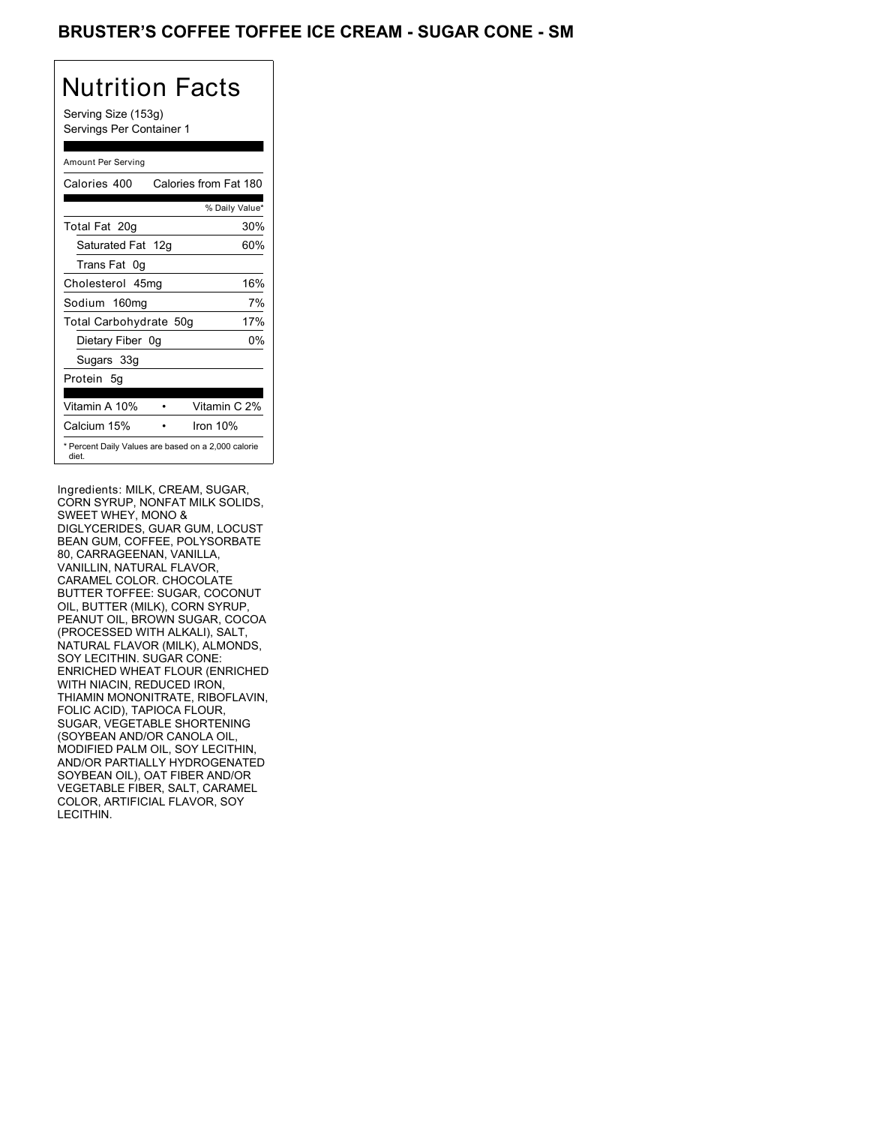### BRUSTER'S COFFEE TOFFEE ICE CREAM - SUGAR CONE - SM

# Nutrition Facts

Serving Size (153g) Servings Per Container 1

#### Amount Per Serving

| Calories 400                                                 |  | Calories from Fat 180 |     |
|--------------------------------------------------------------|--|-----------------------|-----|
|                                                              |  | % Daily Value*        |     |
| Total Fat 20g                                                |  |                       | 30% |
| Saturated Fat 12g                                            |  |                       | 60% |
| Trans Fat 0q                                                 |  |                       |     |
| Cholesterol 45mg                                             |  |                       | 16% |
| Sodium 160mg                                                 |  |                       | 7%  |
| Total Carbohydrate 50g                                       |  |                       | 17% |
| Dietary Fiber 0g                                             |  |                       | 0%  |
| Sugars 33g                                                   |  |                       |     |
| Protein 5q                                                   |  |                       |     |
| Vitamin A 10%                                                |  | Vitamin C 2%          |     |
| Calcium 15%                                                  |  | Iron 10%              |     |
| * Percent Daily Values are based on a 2,000 calorie<br>diet. |  |                       |     |

Ingredients: MILK, CREAM, SUGAR, CORN SYRUP, NONFAT MILK SOLIDS, SWEET WHEY, MONO & DIGLYCERIDES, GUAR GUM, LOCUST BEAN GUM, COFFEE, POLYSORBATE 80, CARRAGEENAN, VANILLA, VANILLIN, NATURAL FLAVOR, CARAMEL COLOR. CHOCOLATE BUTTER TOFFEE: SUGAR, COCONUT OIL, BUTTER (MILK), CORN SYRUP, PEANUT OIL, BROWN SUGAR, COCOA (PROCESSED WITH ALKALI), SALT, NATURAL FLAVOR (MILK), ALMONDS, SOY LECITHIN. SUGAR CONE: ENRICHED WHEAT FLOUR (ENRICHED WITH NIACIN, REDUCED IRON, THIAMIN MONONITRATE, RIBOFLAVIN, FOLIC ACID), TAPIOCA FLOUR, SUGAR, VEGETABLE SHORTENING (SOYBEAN AND/OR CANOLA OIL, MODIFIED PALM OIL, SOY LECITHIN, AND/OR PARTIALLY HYDROGENATED SOYBEAN OIL), OAT FIBER AND/OR VEGETABLE FIBER, SALT, CARAMEL COLOR, ARTIFICIAL FLAVOR, SOY LECITHIN.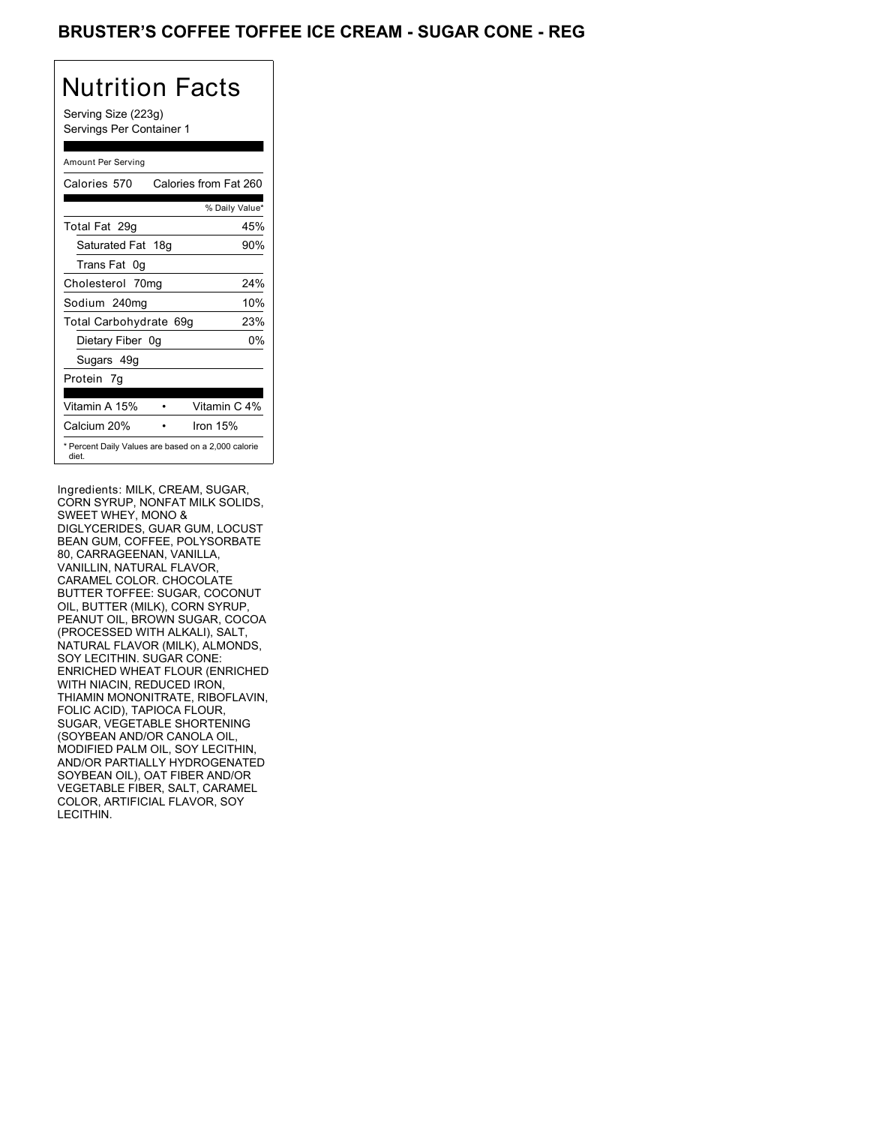## BRUSTER'S COFFEE TOFFEE ICE CREAM - SUGAR CONE - REG

# Nutrition Facts

Serving Size (223g) Servings Per Container 1

#### Amount Per Serving

| Calories 570                                                 | Calories from Fat 260 |
|--------------------------------------------------------------|-----------------------|
|                                                              | % Daily Value*        |
| Total Fat 29g                                                | 45%                   |
| Saturated Fat 18g                                            | 90%                   |
| Trans Fat 0q                                                 |                       |
| Cholesterol 70mg                                             | 24%                   |
| Sodium 240mg                                                 | 10%                   |
| Total Carbohydrate 69g                                       | 23%                   |
| Dietary Fiber 0g                                             | 0%                    |
| Sugars 49g                                                   |                       |
| Protein 7q                                                   |                       |
| Vitamin A 15%                                                | Vitamin C 4%          |
| Calcium 20%                                                  | Iron $15%$            |
| * Percent Daily Values are based on a 2,000 calorie<br>diet. |                       |

Ingredients: MILK, CREAM, SUGAR, CORN SYRUP, NONFAT MILK SOLIDS, SWEET WHEY, MONO & DIGLYCERIDES, GUAR GUM, LOCUST BEAN GUM, COFFEE, POLYSORBATE 80, CARRAGEENAN, VANILLA, VANILLIN, NATURAL FLAVOR, CARAMEL COLOR. CHOCOLATE BUTTER TOFFEE: SUGAR, COCONUT OIL, BUTTER (MILK), CORN SYRUP, PEANUT OIL, BROWN SUGAR, COCOA (PROCESSED WITH ALKALI), SALT, NATURAL FLAVOR (MILK), ALMONDS, SOY LECITHIN. SUGAR CONE: ENRICHED WHEAT FLOUR (ENRICHED WITH NIACIN, REDUCED IRON, THIAMIN MONONITRATE, RIBOFLAVIN, FOLIC ACID), TAPIOCA FLOUR, SUGAR, VEGETABLE SHORTENING (SOYBEAN AND/OR CANOLA OIL, MODIFIED PALM OIL, SOY LECITHIN, AND/OR PARTIALLY HYDROGENATED SOYBEAN OIL), OAT FIBER AND/OR VEGETABLE FIBER, SALT, CARAMEL COLOR, ARTIFICIAL FLAVOR, SOY LECITHIN.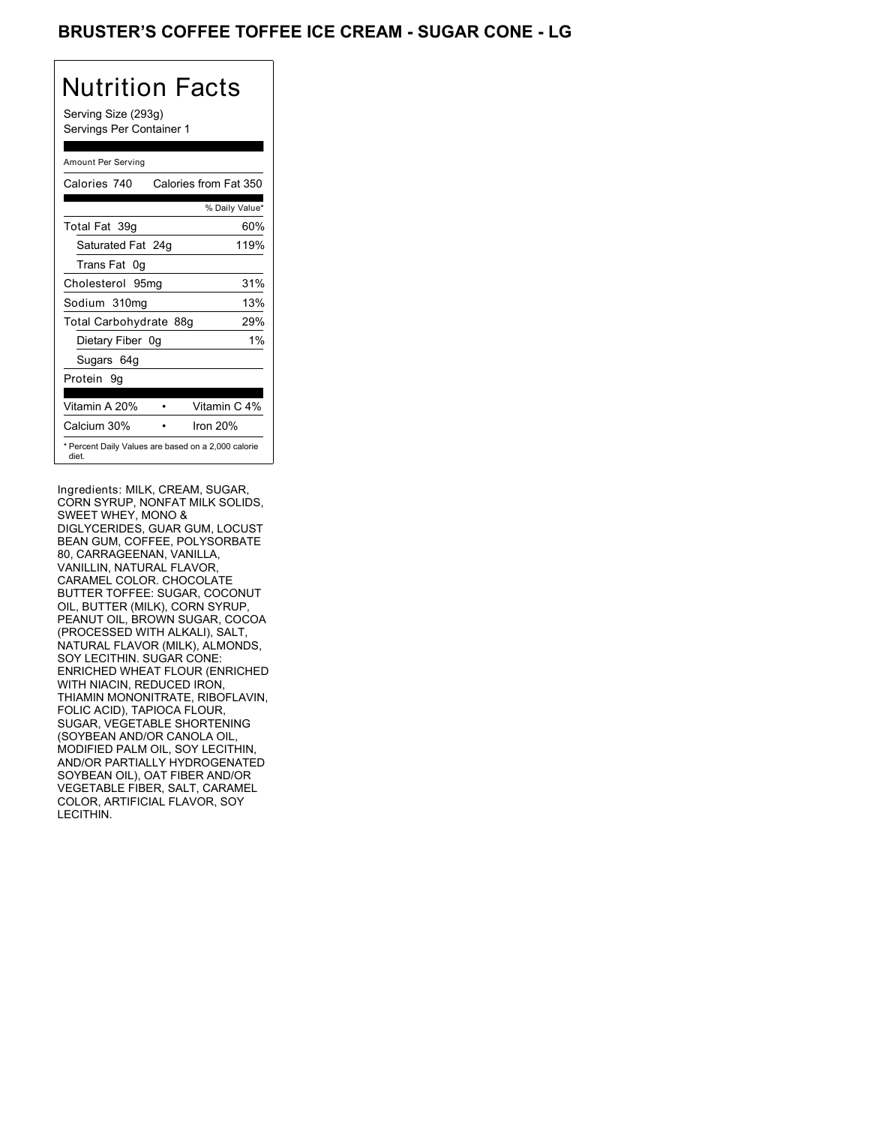## BRUSTER'S COFFEE TOFFEE ICE CREAM - SUGAR CONE - LG

# Nutrition Facts

Serving Size (293g) Servings Per Container 1

#### Amount Per Serving

| Calories 740           | Calories from Fat 350                               |
|------------------------|-----------------------------------------------------|
|                        | % Daily Value*                                      |
| Total Fat 39q          | 60%                                                 |
| Saturated Fat 24g      | 119%                                                |
| Trans Fat 0q           |                                                     |
| Cholesterol 95mg       | 31%                                                 |
| Sodium 310mg           | 13%                                                 |
| Total Carbohydrate 88g | 29%                                                 |
| Dietary Fiber 0g       | $1\%$                                               |
| Sugars 64g             |                                                     |
| Protein 9q             |                                                     |
| Vitamin A 20%          | Vitamin C 4%                                        |
| Calcium 30%            | Iron 20%                                            |
| diet.                  | * Percent Daily Values are based on a 2,000 calorie |

Ingredients: MILK, CREAM, SUGAR, CORN SYRUP, NONFAT MILK SOLIDS, SWEET WHEY, MONO & DIGLYCERIDES, GUAR GUM, LOCUST BEAN GUM, COFFEE, POLYSORBATE 80, CARRAGEENAN, VANILLA, VANILLIN, NATURAL FLAVOR, CARAMEL COLOR. CHOCOLATE BUTTER TOFFEE: SUGAR, COCONUT OIL, BUTTER (MILK), CORN SYRUP, PEANUT OIL, BROWN SUGAR, COCOA (PROCESSED WITH ALKALI), SALT, NATURAL FLAVOR (MILK), ALMONDS, SOY LECITHIN. SUGAR CONE: ENRICHED WHEAT FLOUR (ENRICHED WITH NIACIN, REDUCED IRON, THIAMIN MONONITRATE, RIBOFLAVIN, FOLIC ACID), TAPIOCA FLOUR, SUGAR, VEGETABLE SHORTENING (SOYBEAN AND/OR CANOLA OIL, MODIFIED PALM OIL, SOY LECITHIN, AND/OR PARTIALLY HYDROGENATED SOYBEAN OIL), OAT FIBER AND/OR VEGETABLE FIBER, SALT, CARAMEL COLOR, ARTIFICIAL FLAVOR, SOY LECITHIN.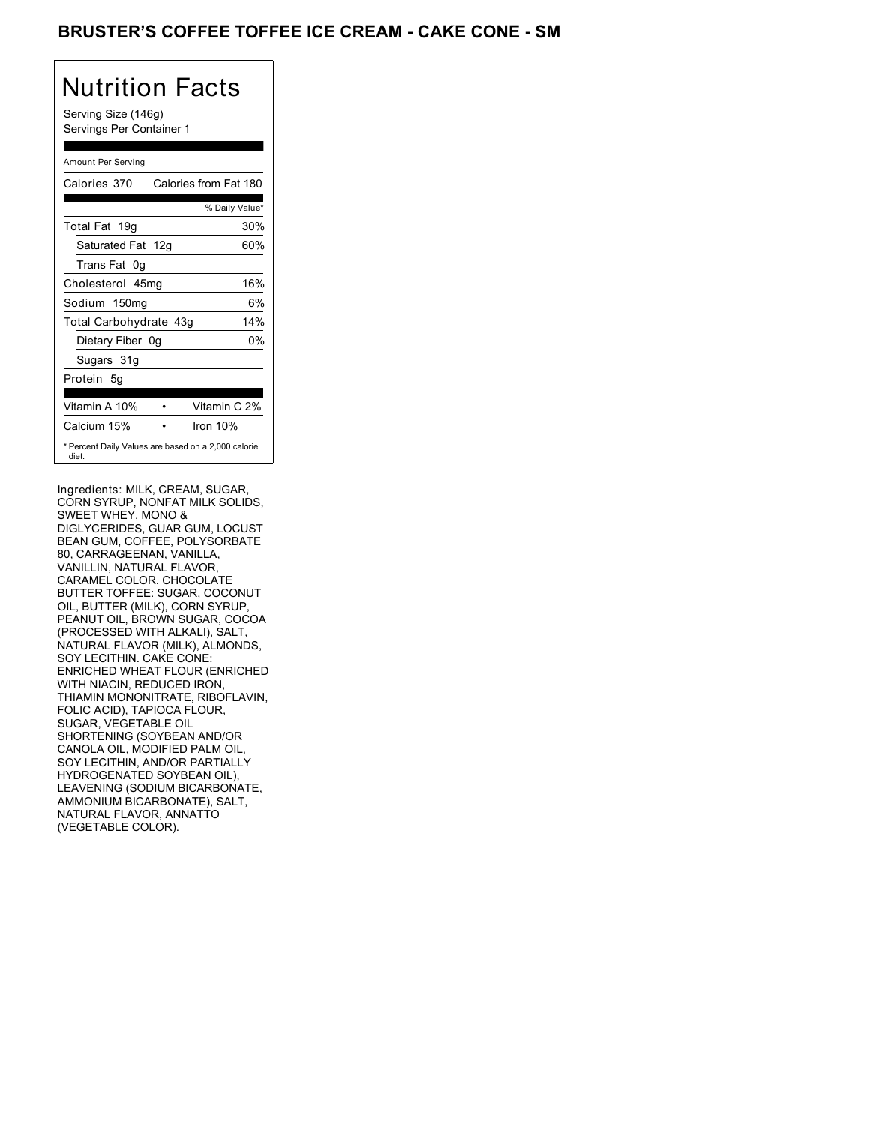## BRUSTER'S COFFEE TOFFEE ICE CREAM - CAKE CONE - SM

# Nutrition Facts

Serving Size (146g) Servings Per Container 1

#### Amount Per Serving

| Calories 370           | Calories from Fat 180                               |
|------------------------|-----------------------------------------------------|
|                        | % Daily Value*                                      |
| Total Fat 19g          | 30%                                                 |
| Saturated Fat 12g      | 60%                                                 |
| Trans Fat 0q           |                                                     |
| Cholesterol 45mg       | 16%                                                 |
| Sodium 150mg           | 6%                                                  |
| Total Carbohydrate 43g | 14%                                                 |
| Dietary Fiber 0g       | 0%                                                  |
| Sugars 31g             |                                                     |
| Protein 5q             |                                                     |
| Vitamin A 10%          | Vitamin C 2%                                        |
| Calcium 15%            | Iron 10%                                            |
| diet.                  | * Percent Daily Values are based on a 2,000 calorie |

Ingredients: MILK, CREAM, SUGAR, CORN SYRUP, NONFAT MILK SOLIDS, SWEET WHEY, MONO & DIGLYCERIDES, GUAR GUM, LOCUST BEAN GUM, COFFEE, POLYSORBATE 80, CARRAGEENAN, VANILLA, VANILLIN, NATURAL FLAVOR, CARAMEL COLOR. CHOCOLATE BUTTER TOFFEE: SUGAR, COCONUT OIL, BUTTER (MILK), CORN SYRUP, PEANUT OIL, BROWN SUGAR, COCOA (PROCESSED WITH ALKALI), SALT, NATURAL FLAVOR (MILK), ALMONDS, SOY LECITHIN. CAKE CONE: ENRICHED WHEAT FLOUR (ENRICHED WITH NIACIN, REDUCED IRON, THIAMIN MONONITRATE, RIBOFLAVIN, FOLIC ACID), TAPIOCA FLOUR, SUGAR, VEGETABLE OIL SHORTENING (SOYBEAN AND/OR CANOLA OIL, MODIFIED PALM OIL, SOY LECITHIN, AND/OR PARTIALLY HYDROGENATED SOYBEAN OIL), LEAVENING (SODIUM BICARBONATE, AMMONIUM BICARBONATE), SALT, NATURAL FLAVOR, ANNATTO (VEGETABLE COLOR).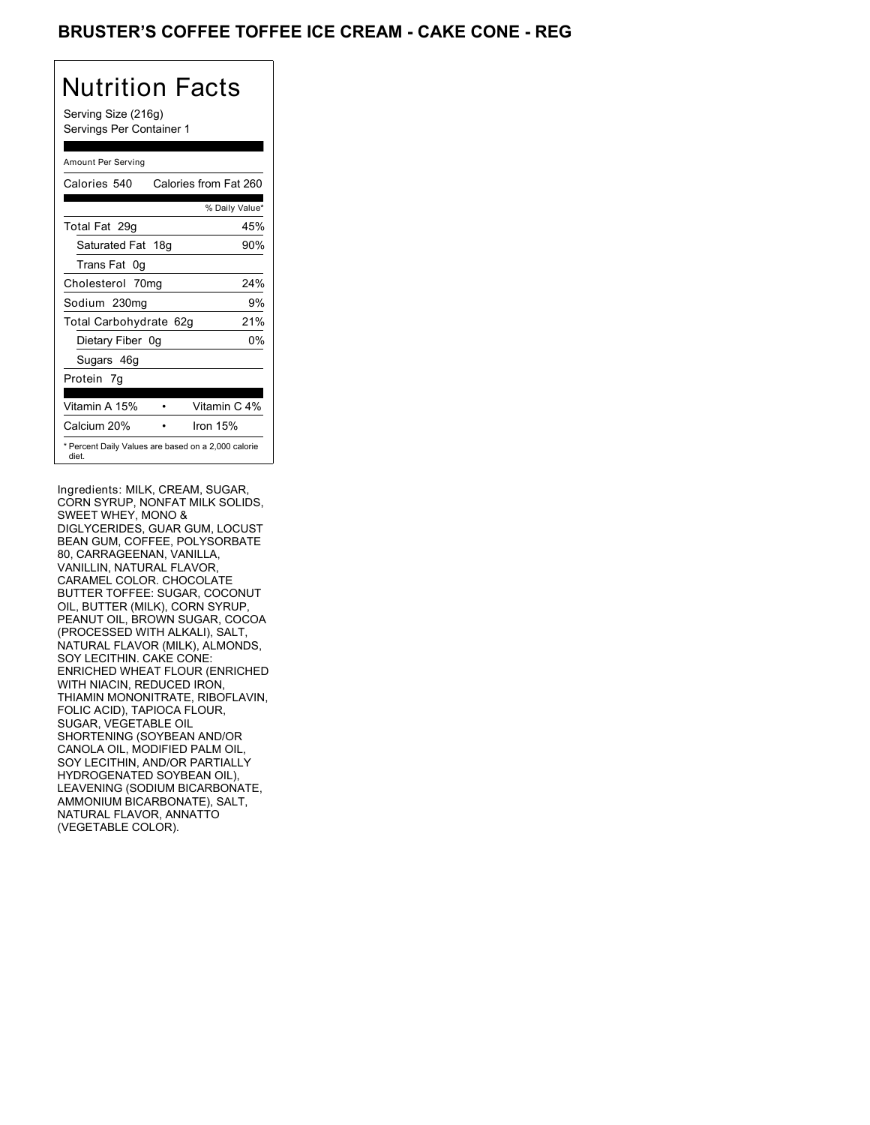## BRUSTER'S COFFEE TOFFEE ICE CREAM - CAKE CONE - REG

# Nutrition Facts

Serving Size (216g) Servings Per Container 1

#### Amount Per Serving

| Calories 540           | Calories from Fat 260                               |
|------------------------|-----------------------------------------------------|
|                        | % Daily Value*                                      |
| Total Fat 29g          | 45%                                                 |
| Saturated Fat 18g      | 90%                                                 |
| Trans Fat 0q           |                                                     |
| Cholesterol 70mg       | 24%                                                 |
| Sodium 230mg           | 9%                                                  |
| Total Carbohydrate 62g | 21%                                                 |
| Dietary Fiber 0g       | 0%                                                  |
| Sugars 46g             |                                                     |
| Protein 7q             |                                                     |
| Vitamin A 15%          | Vitamin C 4%                                        |
| Calcium 20%            | Iron $15%$                                          |
| diet.                  | * Percent Daily Values are based on a 2,000 calorie |

Ingredients: MILK, CREAM, SUGAR, CORN SYRUP, NONFAT MILK SOLIDS, SWEET WHEY, MONO & DIGLYCERIDES, GUAR GUM, LOCUST BEAN GUM, COFFEE, POLYSORBATE 80, CARRAGEENAN, VANILLA, VANILLIN, NATURAL FLAVOR, CARAMEL COLOR. CHOCOLATE BUTTER TOFFEE: SUGAR, COCONUT OIL, BUTTER (MILK), CORN SYRUP, PEANUT OIL, BROWN SUGAR, COCOA (PROCESSED WITH ALKALI), SALT, NATURAL FLAVOR (MILK), ALMONDS, SOY LECITHIN. CAKE CONE: ENRICHED WHEAT FLOUR (ENRICHED WITH NIACIN, REDUCED IRON, THIAMIN MONONITRATE, RIBOFLAVIN, FOLIC ACID), TAPIOCA FLOUR, SUGAR, VEGETABLE OIL SHORTENING (SOYBEAN AND/OR CANOLA OIL, MODIFIED PALM OIL, SOY LECITHIN, AND/OR PARTIALLY HYDROGENATED SOYBEAN OIL), LEAVENING (SODIUM BICARBONATE, AMMONIUM BICARBONATE), SALT, NATURAL FLAVOR, ANNATTO (VEGETABLE COLOR).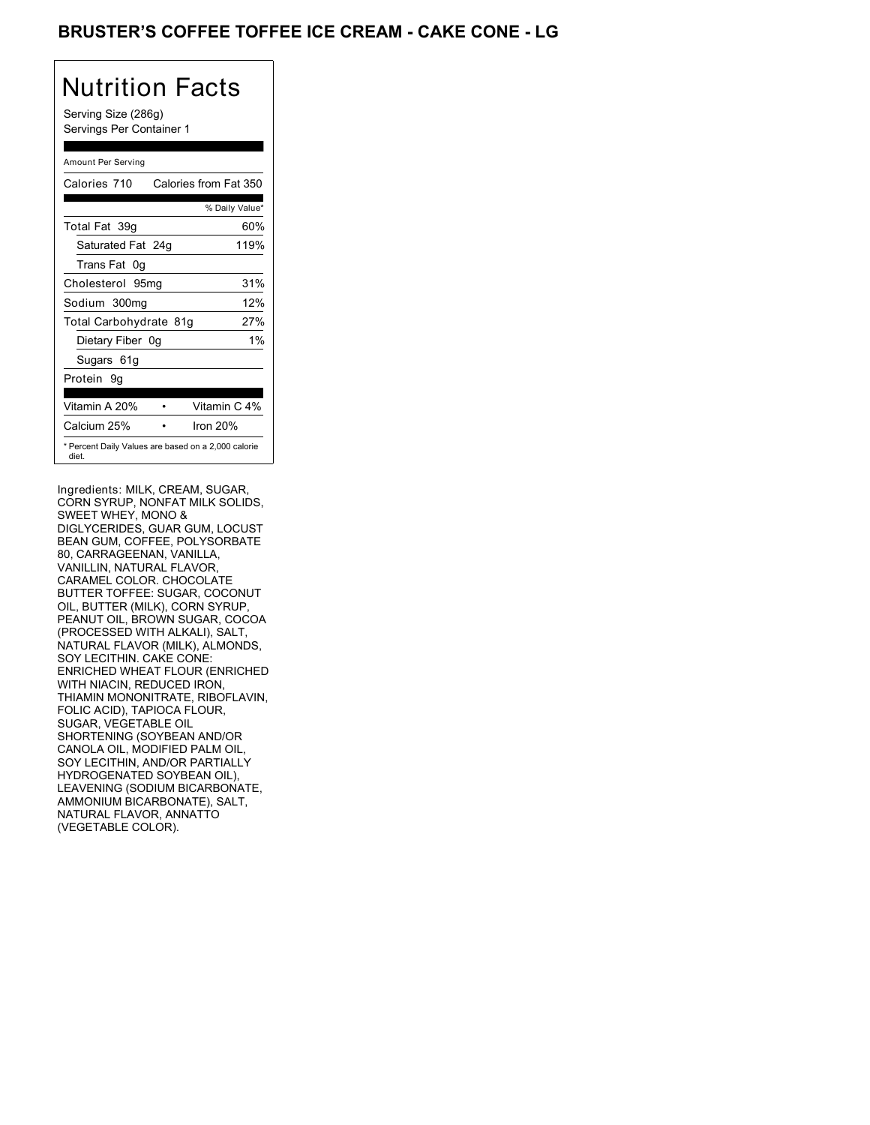## BRUSTER'S COFFEE TOFFEE ICE CREAM - CAKE CONE - LG

# Nutrition Facts

Serving Size (286g) Servings Per Container 1

#### Amount Per Serving

| Calories 710           | Calories from Fat 350                               |
|------------------------|-----------------------------------------------------|
|                        | % Daily Value*                                      |
| Total Fat 39q          | 60%                                                 |
| Saturated Fat 24g      | 119%                                                |
| Trans Fat 0q           |                                                     |
| Cholesterol 95mg       | 31%                                                 |
| Sodium 300mg           | 12%                                                 |
| Total Carbohydrate 81g | 27%                                                 |
| Dietary Fiber 0g       | 1%                                                  |
| Sugars 61g             |                                                     |
| Protein 9q             |                                                     |
|                        |                                                     |
| Vitamin A 20%          | Vitamin C 4%                                        |
| Calcium 25%            | Iron 20%                                            |
| diet.                  | * Percent Daily Values are based on a 2,000 calorie |

Ingredients: MILK, CREAM, SUGAR, CORN SYRUP, NONFAT MILK SOLIDS, SWEET WHEY, MONO & DIGLYCERIDES, GUAR GUM, LOCUST BEAN GUM, COFFEE, POLYSORBATE 80, CARRAGEENAN, VANILLA, VANILLIN, NATURAL FLAVOR, CARAMEL COLOR. CHOCOLATE BUTTER TOFFEE: SUGAR, COCONUT OIL, BUTTER (MILK), CORN SYRUP, PEANUT OIL, BROWN SUGAR, COCOA (PROCESSED WITH ALKALI), SALT, NATURAL FLAVOR (MILK), ALMONDS, SOY LECITHIN. CAKE CONE: ENRICHED WHEAT FLOUR (ENRICHED WITH NIACIN, REDUCED IRON, THIAMIN MONONITRATE, RIBOFLAVIN, FOLIC ACID), TAPIOCA FLOUR, SUGAR, VEGETABLE OIL SHORTENING (SOYBEAN AND/OR CANOLA OIL, MODIFIED PALM OIL, SOY LECITHIN, AND/OR PARTIALLY HYDROGENATED SOYBEAN OIL), LEAVENING (SODIUM BICARBONATE, AMMONIUM BICARBONATE), SALT, NATURAL FLAVOR, ANNATTO (VEGETABLE COLOR).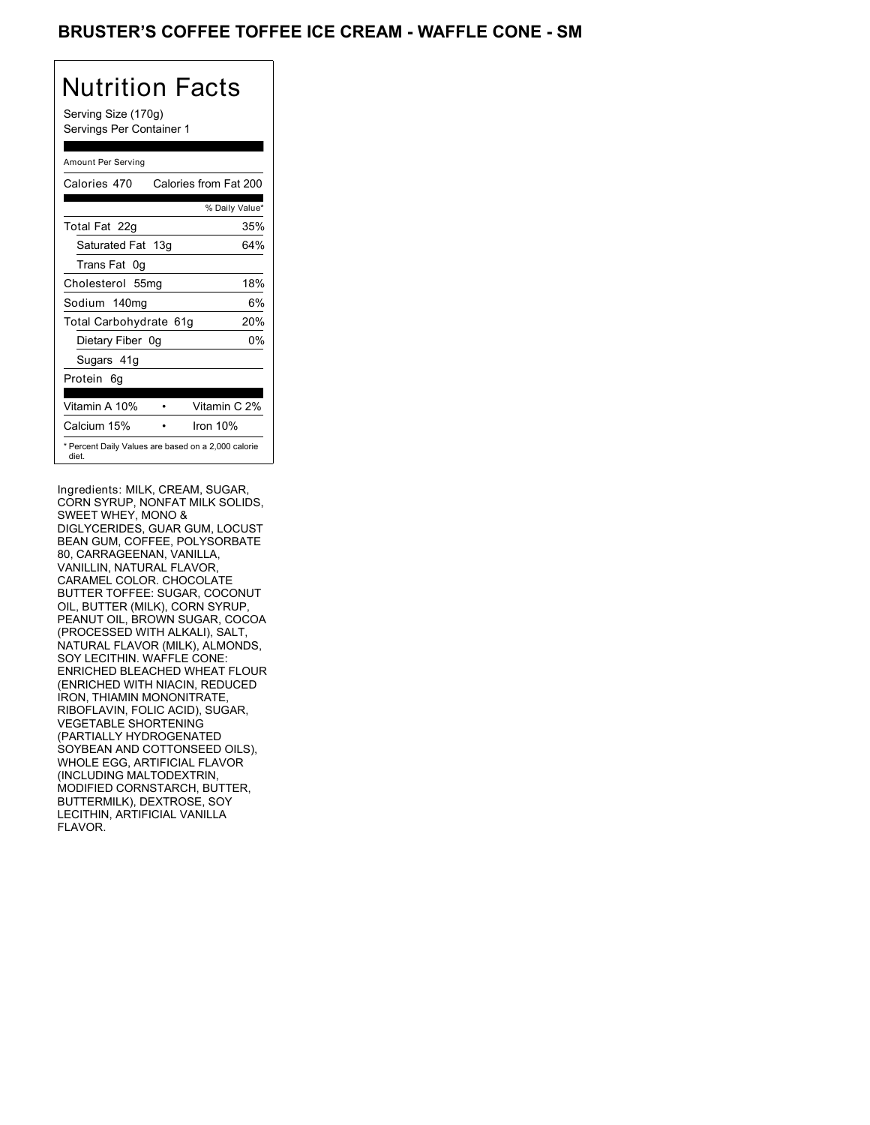### BRUSTER'S COFFEE TOFFEE ICE CREAM - WAFFLE CONE - SM

# Nutrition Facts

Serving Size (170g) Servings Per Container 1

#### Amount Per Serving

| Calories 470                                                 | Calories from Fat 200 |
|--------------------------------------------------------------|-----------------------|
|                                                              | % Daily Value*        |
| Total Fat 22g                                                | 35%                   |
| Saturated Fat 13g                                            | 64%                   |
| Trans Fat 0q                                                 |                       |
| Cholesterol 55mg                                             | 18%                   |
| Sodium 140mg                                                 | 6%                    |
| Total Carbohydrate 61g                                       | 20%                   |
| Dietary Fiber 0g                                             | 0%                    |
| Sugars 41g                                                   |                       |
| Protein 6q                                                   |                       |
| Vitamin A 10%                                                | Vitamin C 2%          |
| Calcium 15%                                                  | Iron $10%$            |
| * Percent Daily Values are based on a 2,000 calorie<br>diet. |                       |

Ingredients: MILK, CREAM, SUGAR, CORN SYRUP, NONFAT MILK SOLIDS, SWEET WHEY, MONO & DIGLYCERIDES, GUAR GUM, LOCUST BEAN GUM, COFFEE, POLYSORBATE 80, CARRAGEENAN, VANILLA, VANILLIN, NATURAL FLAVOR, CARAMEL COLOR. CHOCOLATE BUTTER TOFFEE: SUGAR, COCONUT OIL, BUTTER (MILK), CORN SYRUP, PEANUT OIL, BROWN SUGAR, COCOA (PROCESSED WITH ALKALI), SALT, NATURAL FLAVOR (MILK), ALMONDS, SOY LECITHIN. WAFFLE CONE: ENRICHED BLEACHED WHEAT FLOUR (ENRICHED WITH NIACIN, REDUCED IRON, THIAMIN MONONITRATE, RIBOFLAVIN, FOLIC ACID), SUGAR, VEGETABLE SHORTENING (PARTIALLY HYDROGENATED SOYBEAN AND COTTONSEED OILS), WHOLE EGG, ARTIFICIAL FLAVOR (INCLUDING MALTODEXTRIN, MODIFIED CORNSTARCH, BUTTER, BUTTERMILK), DEXTROSE, SOY LECITHIN, ARTIFICIAL VANILLA FLAVOR.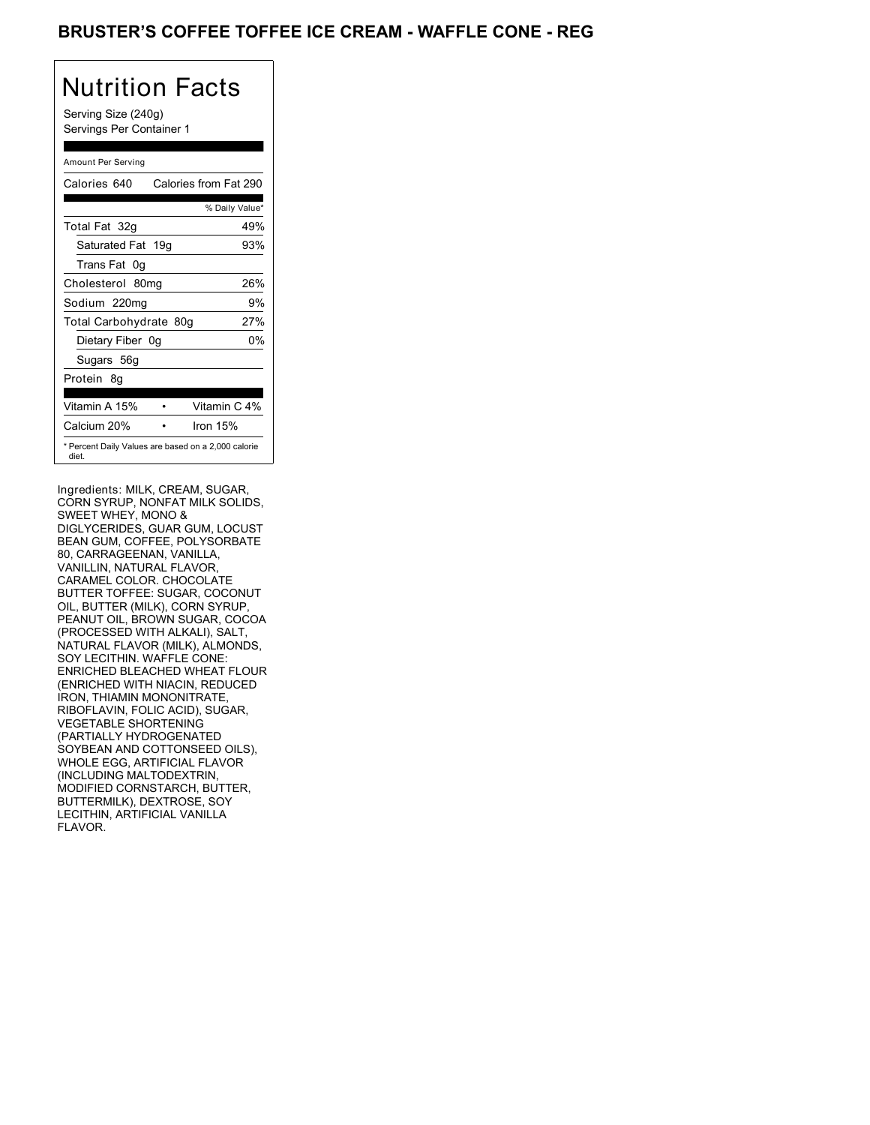## BRUSTER'S COFFEE TOFFEE ICE CREAM - WAFFLE CONE - REG

## Nutrition Facts

Serving Size (240g) Servings Per Container 1

#### Amount Per Serving

| Calories 640           | Calories from Fat 290                               |
|------------------------|-----------------------------------------------------|
|                        | % Daily Value*                                      |
| Total Fat 32g          | 49%                                                 |
| Saturated Fat 19g      | 93%                                                 |
| Trans Fat 0q           |                                                     |
| Cholesterol 80mg       | 26%                                                 |
| Sodium 220mg           | 9%                                                  |
| Total Carbohydrate 80g | 27%                                                 |
| Dietary Fiber 0g       | 0%                                                  |
| Sugars 56g             |                                                     |
| Protein 8q             |                                                     |
| Vitamin A 15%          | Vitamin C 4%                                        |
| Calcium 20%            | Iron $15%$                                          |
| diet.                  | * Percent Daily Values are based on a 2,000 calorie |

Ingredients: MILK, CREAM, SUGAR, CORN SYRUP, NONFAT MILK SOLIDS, SWEET WHEY, MONO & DIGLYCERIDES, GUAR GUM, LOCUST BEAN GUM, COFFEE, POLYSORBATE 80, CARRAGEENAN, VANILLA, VANILLIN, NATURAL FLAVOR, CARAMEL COLOR. CHOCOLATE BUTTER TOFFEE: SUGAR, COCONUT OIL, BUTTER (MILK), CORN SYRUP, PEANUT OIL, BROWN SUGAR, COCOA (PROCESSED WITH ALKALI), SALT, NATURAL FLAVOR (MILK), ALMONDS, SOY LECITHIN. WAFFLE CONE: ENRICHED BLEACHED WHEAT FLOUR (ENRICHED WITH NIACIN, REDUCED IRON, THIAMIN MONONITRATE, RIBOFLAVIN, FOLIC ACID), SUGAR, VEGETABLE SHORTENING (PARTIALLY HYDROGENATED SOYBEAN AND COTTONSEED OILS), WHOLE EGG, ARTIFICIAL FLAVOR (INCLUDING MALTODEXTRIN, MODIFIED CORNSTARCH, BUTTER, BUTTERMILK), DEXTROSE, SOY LECITHIN, ARTIFICIAL VANILLA FLAVOR.